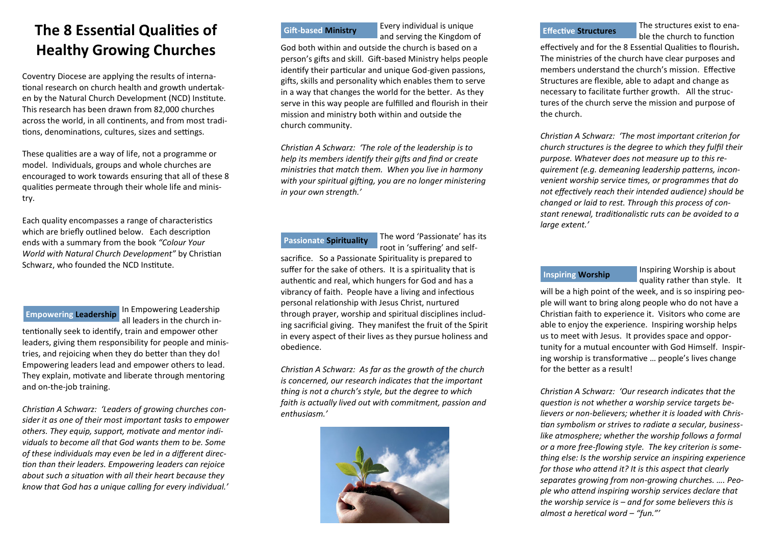# **The 8 Essential Qualities of Healthy Growing Churches**

Coventry Diocese are applying the results of international research on church health and growth undertaken by the Natural Church Development (NCD) Institute. This research has been drawn from 82,000 churches across the world, in all continents, and from most traditions, denominations, cultures, sizes and settings.

These qualities are a way of life, not a programme or model. Individuals, groups and whole churches are encouraged to work towards ensuring that all of these 8 qualities permeate through their whole life and ministry.

Each quality encompasses a range of characteristics which are briefly outlined below. Each description ends with a summary from the book *"Colour Your World with Natural Church Development"* by Christian Schwarz, who founded the NCD Institute.

### **Empowering Leadership**

In Empowering Leadership all leaders in the church in-

tentionally seek to identify, train and empower other leaders, giving them responsibility for people and ministries, and rejoicing when they do better than they do! Empowering leaders lead and empower others to lead. They explain, motivate and liberate through mentoring and on-the-job training.

*Christian A Schwarz: 'Leaders of growing churches consider it as one of their most important tasks to empower others. They equip, support, motivate and mentor individuals to become all that God wants them to be. Some of these individuals may even be led in a different direction than their leaders. Empowering leaders can rejoice about such a situation with all their heart because they know that God has a unique calling for every individual.'*

## **Gift-based Ministry**

Every individual is unique and serving the Kingdom of

God both within and outside the church is based on a person's gifts and skill. Gift-based Ministry helps people identify their particular and unique God-given passions, gifts, skills and personality which enables them to serve in a way that changes the world for the better. As they serve in this way people are fulfilled and flourish in their mission and ministry both within and outside the church community.

*Christian A Schwarz: 'The role of the leadership is to help its members identify their gifts and find or create ministries that match them. When you live in harmony with your spiritual gifting, you are no longer ministering in your own strength.'*

**Passionate Spirituality**

The word 'Passionate' has its root in 'suffering' and self-

sacrifice. So a Passionate Spirituality is prepared to suffer for the sake of others. It is a spirituality that is authentic and real, which hungers for God and has a vibrancy of faith. People have a living and infectious personal relationship with Jesus Christ, nurtured through prayer, worship and spiritual disciplines including sacrificial giving. They manifest the fruit of the Spirit in every aspect of their lives as they pursue holiness and obedience.

*Christian A Schwarz: As far as the growth of the church is concerned, our research indicates that the important thing is not a church's style, but the degree to which faith is actually lived out with commitment, passion and enthusiasm.'*



#### **Effective Structures**

The structures exist to enable the church to function

effectively and for the 8 Essential Qualities to flourish*.*  The ministries of the church have clear purposes and members understand the church's mission. Effective Structures are flexible, able to adapt and change as necessary to facilitate further growth. All the structures of the church serve the mission and purpose of the church.

*Christian A Schwarz: 'The most important criterion for church structures is the degree to which they fulfil their purpose. Whatever does not measure up to this requirement (e.g. demeaning leadership patterns, inconvenient worship service times, or programmes that do not effectively reach their intended audience) should be changed or laid to rest. Through this process of constant renewal, traditionalistic ruts can be avoided to a large extent.'*

## **Inspiring Worship**

Inspiring Worship is about quality rather than style. It

will be a high point of the week, and is so inspiring people will want to bring along people who do not have a Christian faith to experience it. Visitors who come are able to enjoy the experience. Inspiring worship helps us to meet with Jesus. It provides space and opportunity for a mutual encounter with God Himself. Inspiring worship is transformative … people's lives change for the better as a result!

*Christian A Schwarz: 'Our research indicates that the question is not whether a worship service targets believers or non-believers; whether it is loaded with Christian symbolism or strives to radiate a secular, businesslike atmosphere; whether the worship follows a formal or a more free-flowing style. The key criterion is something else: Is the worship service an inspiring experience for those who attend it? It is this aspect that clearly separates growing from non-growing churches. …. People who attend inspiring worship services declare that the worship service is – and for some believers this is almost a heretical word – "fun."'*